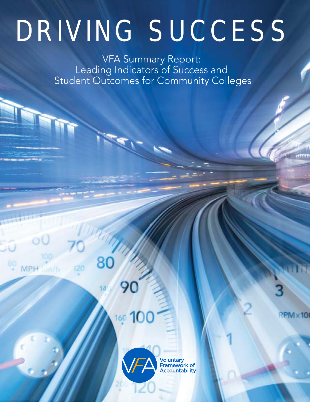# DRIVING SUCCESS

VFA Summary Report: Leading Indicators of Success and Student Outcomes for Community Colleges

90

160 100

MPH

Voluntary<br>Framework of

PM×10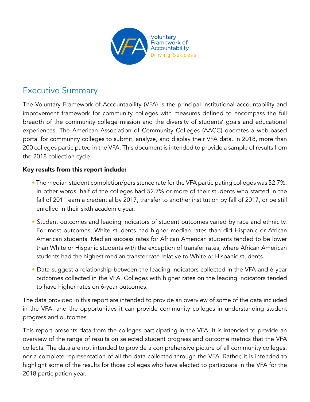

## Executive Summary

The Voluntary Framework of Accountability (VFA) is the principal institutional accountability and improvement framework for community colleges with measures defined to encompass the full breadth of the community college mission and the diversity of students' goals and educational experiences. The American Association of Community Colleges (AACC) operates a web-based portal for community colleges to submit, analyze, and display their VFA data. In 2018, more than 200 colleges participated in the VFA. This document is intended to provide a sample of results from the 2018 collection cycle.

#### Key results from this report include:

- The median student completion/persistence rate for the VFA participating colleges was 52.7%. In other words, half of the colleges had 52.7% or more of their students who started in the fall of 2011 earn a credential by 2017, transfer to another institution by fall of 2017, or be still enrolled in their sixth academic year.
- Student outcomes and leading indicators of student outcomes varied by race and ethnicity. For most outcomes, White students had higher median rates than did Hispanic or African American students. Median success rates for African American students tended to be lower than White or Hispanic students with the exception of transfer rates, where African American students had the highest median transfer rate relative to White or Hispanic students.
- Data suggest a relationship between the leading indicators collected in the VFA and 6-year outcomes collected in the VFA. Colleges with higher rates on the leading indicators tended to have higher rates on 6-year outcomes.

The data provided in this report are intended to provide an overview of some of the data included in the VFA, and the opportunities it can provide community colleges in understanding student progress and outcomes.

This report presents data from the colleges participating in the VFA. It is intended to provide an overview of the range of results on selected student progress and outcome metrics that the VFA collects. The data are not intended to provide a comprehensive picture of all community colleges, nor a complete representation of all the data collected through the VFA. Rather, it is intended to highlight some of the results for those colleges who have elected to participate in the VFA for the 2018 participation year.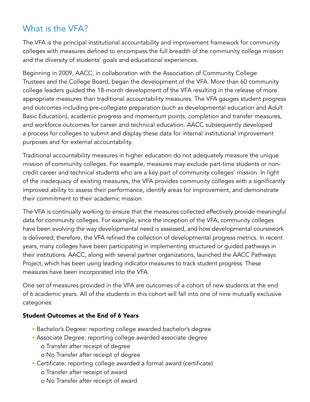# What is the VFA?

The VFA is the principal institutional accountability and improvement framework for community colleges with measures defined to encompass the full breadth of the community college mission and the diversity of students' goals and educational experiences.

Beginning in 2009, AACC, in collaboration with the Association of Community College Trustees and the College Board, began the development of the VFA. More than 60 community college leaders guided the 18-month development of the VFA resulting in the release of more appropriate measures than traditional accountability measures. The VFA gauges student progress and outcomes including pre-collegiate preparation (such as developmental education and Adult Basic Education), academic progress and momentum points, completion and transfer measures, and workforce outcomes for career and technical education. AACC subsequently developed a process for colleges to submit and display these data for internal institutional improvement purposes and for external accountability.

Traditional accountability measures in higher education do not adequately measure the unique mission of community colleges. For example, measures may exclude part-time students or noncredit career and technical students who are a key part of community colleges' mission. In light of the inadequacy of existing measures, the VFA provides community colleges with a significantly improved ability to assess their performance, identify areas for improvement, and demonstrate their commitment to their academic mission.

The VFA is continually working to ensure that the measures collected effectively provide meaningful data for community colleges. For example, since the inception of the VFA, community colleges have been evolving the way developmental need is assessed, and how developmental coursework is delivered; therefore, the VFA refined the collection of developmental progress metrics. In recent years, many colleges have been participating in implementing structured or guided pathways in their institutions. AACC, along with several partner organizations, launched the AACC Pathways Project, which has been using leading indicator measures to track student progress. These measures have been incorporated into the VFA.

One set of measures provided in the VFA are outcomes of a cohort of new students at the end of 6 academic years. All of the students in this cohort will fall into one of nine mutually exclusive categories:

#### Student Outcomes at the End of 6 Years

- Bachelor's Degree: reporting college awarded bachelor's degree
- Associate Degree: reporting college awarded associate degree o Transfer after receipt of degree
	- o No Transfer after receipt of degree
- Certificate: reporting college awarded a formal award (certificate) o Transfer after receipt of award
	- o No Transfer after receipt of award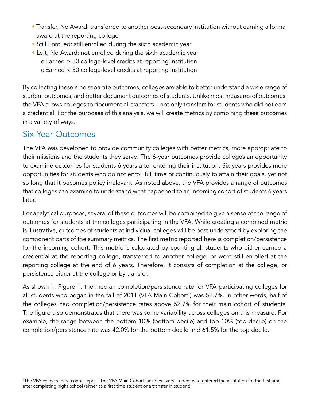- Transfer, No Award: transferred to another post-secondary institution without earning a formal award at the reporting college
- Still Enrolled: still enrolled during the sixth academic year
- Left, No Award: not enrolled during the sixth academic year o Earned ≥ 30 college-level credits at reporting institution o Earned < 30 college-level credits at reporting institution

By collecting these nine separate outcomes, colleges are able to better understand a wide range of student outcomes, and better document outcomes of students. Unlike most measures of outcomes, the VFA allows colleges to document all transfers—not only transfers for students who did not earn a credential. For the purposes of this analysis, we will create metrics by combining these outcomes in a variety of ways.

## Six-Year Outcomes

The VFA was developed to provide community colleges with better metrics, more appropriate to their missions and the students they serve. The 6-year outcomes provide colleges an opportunity to examine outcomes for students 6 years after entering their institution. Six years provides more opportunities for students who do not enroll full time or continuously to attain their goals, yet not so long that it becomes policy irrelevant. As noted above, the VFA provides a range of outcomes that colleges can examine to understand what happened to an incoming cohort of students 6 years later.

For analytical purposes, several of these outcomes will be combined to give a sense of the range of outcomes for students at the colleges participating in the VFA. While creating a combined metric is illustrative, outcomes of students at individual colleges will be best understood by exploring the component parts of the summary metrics. The first metric reported here is completion/persistence for the incoming cohort. This metric is calculated by counting all students who either earned a credential at the reporting college, transferred to another college, or were still enrolled at the reporting college at the end of 6 years. Therefore, it consists of completion at the college, or persistence either at the college or by transfer.

As shown in Figure 1, the median completion/persistence rate for VFA participating colleges for all students who began in the fall of 2011 (VFA Main Cohort<sup>1</sup>) was 52.7%. In other words, half of the colleges had completion/persistence rates above 52.7% for their main cohort of students. The figure also demonstrates that there was some variability across colleges on this measure. For example, the range between the bottom 10% (bottom decile) and top 10% (top decile) on the completion/persistence rate was 42.0% for the bottom decile and 61.5% for the top decile.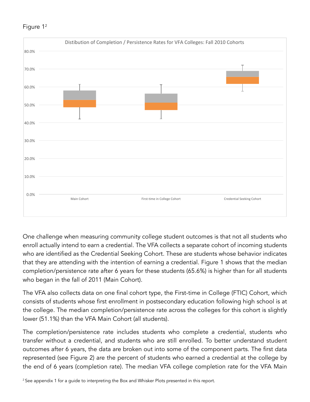



One challenge when measuring community college student outcomes is that not all students who enroll actually intend to earn a credential. The VFA collects a separate cohort of incoming students who are identified as the Credential Seeking Cohort. These are students whose behavior indicates that they are attending with the intention of earning a credential. Figure 1 shows that the median completion/persistence rate after 6 years for these students (65.6%) is higher than for all students who began in the fall of 2011 (Main Cohort).

The VFA also collects data on one final cohort type, the First-time in College (FTIC) Cohort, which consists of students whose first enrollment in postsecondary education following high school is at the college. The median completion/persistence rate across the colleges for this cohort is slightly lower (51.1%) than the VFA Main Cohort (all students).

The completion/persistence rate includes students who complete a credential, students who transfer without a credential, and students who are still enrolled. To better understand student outcomes after 6 years, the data are broken out into some of the component parts. The first data represented (see Figure 2) are the percent of students who earned a credential at the college by the end of 6 years (completion rate). The median VFA college completion rate for the VFA Main

 $2$  See appendix 1 for a guide to interpreting the Box and Whisker Plots presented in this report.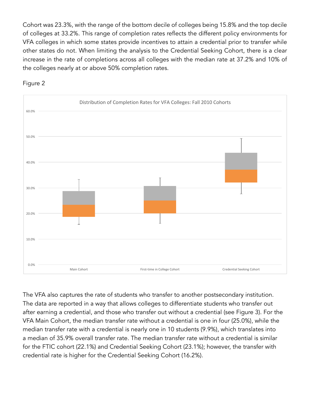Cohort was 23.3%, with the range of the bottom decile of colleges being 15.8% and the top decile of colleges at 33.2%. This range of completion rates reflects the different policy environments for VFA colleges in which some states provide incentives to attain a credential prior to transfer while other states do not. When limiting the analysis to the Credential Seeking Cohort, there is a clear increase in the rate of completions across all colleges with the median rate at 37.2% and 10% of the colleges nearly at or above 50% completion rates.





The VFA also captures the rate of students who transfer to another postsecondary institution. The data are reported in a way that allows colleges to differentiate students who transfer out after earning a credential, and those who transfer out without a credential (see Figure 3). For the VFA Main Cohort, the median transfer rate without a credential is one in four (25.0%), while the median transfer rate with a credential is nearly one in 10 students (9.9%), which translates into a median of 35.9% overall transfer rate. The median transfer rate without a credential is similar for the FTIC cohort (22.1%) and Credential Seeking Cohort (23.1%); however, the transfer with credential rate is higher for the Credential Seeking Cohort (16.2%).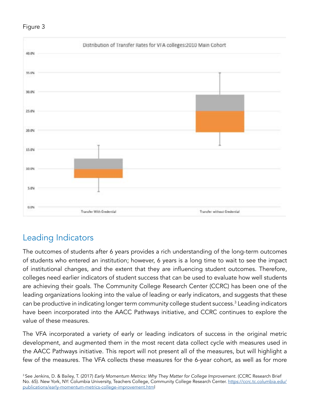



## Leading Indicators

The outcomes of students after 6 years provides a rich understanding of the long-term outcomes of students who entered an institution; however, 6 years is a long time to wait to see the impact of institutional changes, and the extent that they are influencing student outcomes. Therefore, colleges need earlier indicators of student success that can be used to evaluate how well students are achieving their goals. The Community College Research Center (CCRC) has been one of the leading organizations looking into the value of leading or early indicators, and suggests that these can be productive in indicating longer term community college student success. $^3$  Leading indicators  $\,$ have been incorporated into the AACC Pathways initiative, and CCRC continues to explore the value of these measures.

The VFA incorporated a variety of early or leading indicators of success in the original metric development, and augmented them in the most recent data collect cycle with measures used in the AACC Pathways initiative. This report will not present all of the measures, but will highlight a few of the measures. The VFA collects these measures for the 6-year cohort, as well as for more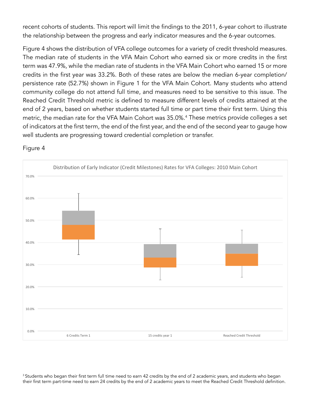recent cohorts of students. This report will limit the findings to the 2011, 6-year cohort to illustrate the relationship between the progress and early indicator measures and the 6-year outcomes.

Figure 4 shows the distribution of VFA college outcomes for a variety of credit threshold measures. The median rate of students in the VFA Main Cohort who earned six or more credits in the first term was 47.9%, while the median rate of students in the VFA Main Cohort who earned 15 or more credits in the first year was 33.2%. Both of these rates are below the median 6-year completion/ persistence rate (52.7%) shown in Figure 1 for the VFA Main Cohort. Many students who attend community college do not attend full time, and measures need to be sensitive to this issue. The Reached Credit Threshold metric is defined to measure different levels of credits attained at the end of 2 years, based on whether students started full time or part time their first term. Using this metric, the median rate for the VFA Main Cohort was 35.0%.<sup>4</sup> These metrics provide colleges a set of indicators at the first term, the end of the first year, and the end of the second year to gauge how well students are progressing toward credential completion or transfer.



#### Figure 4

<sup>3</sup> Students who began their first term full time need to earn 42 credits by the end of 2 academic years, and students who began their first term part-time need to earn 24 credits by the end of 2 academic years to meet the Reached Credit Threshold definition.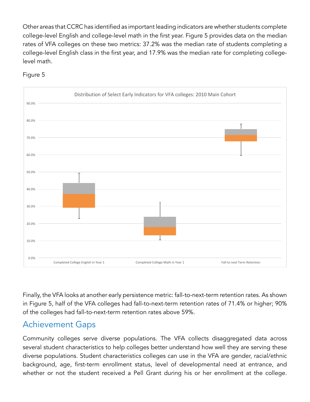Other areas that CCRC has identified as important leading indicators are whether students complete college-level English and college-level math in the first year. Figure 5 provides data on the median rates of VFA colleges on these two metrics: 37.2% was the median rate of students completing a college-level English class in the first year, and 17.9% was the median rate for completing collegelevel math.



#### Figure 5

Finally, the VFA looks at another early persistence metric: fall-to-next-term retention rates. As shown in Figure 5, half of the VFA colleges had fall-to-next-term retention rates of 71.4% or higher; 90% of the colleges had fall-to-next-term retention rates above 59%.

## Achievement Gaps

Community colleges serve diverse populations. The VFA collects disaggregated data across several student characteristics to help colleges better understand how well they are serving these diverse populations. Student characteristics colleges can use in the VFA are gender, racial/ethnic background, age, first-term enrollment status, level of developmental need at entrance, and whether or not the student received a Pell Grant during his or her enrollment at the college.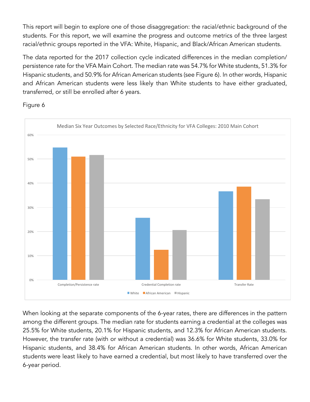This report will begin to explore one of those disaggregation: the racial/ethnic background of the students. For this report, we will examine the progress and outcome metrics of the three largest racial/ethnic groups reported in the VFA: White, Hispanic, and Black/African American students.

The data reported for the 2017 collection cycle indicated differences in the median completion/ persistence rate for the VFA Main Cohort. The median rate was 54.7% for White students, 51.3% for Hispanic students, and 50.9% for African American students (see Figure 6). In other words, Hispanic and African American students were less likely than White students to have either graduated, transferred, or still be enrolled after 6 years.

Figure 6



When looking at the separate components of the 6-year rates, there are differences in the pattern among the different groups. The median rate for students earning a credential at the colleges was 25.5% for White students, 20.1% for Hispanic students, and 12.3% for African American students. However, the transfer rate (with or without a credential) was 36.6% for White students, 33.0% for Hispanic students, and 38.4% for African American students. In other words, African American students were least likely to have earned a credential, but most likely to have transferred over the 6-year period.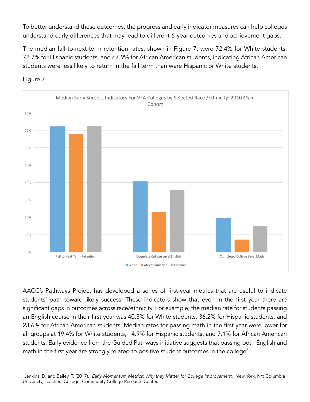To better understand these outcomes, the progress and early indicator measures can help colleges understand early differences that may lead to different 6-year outcomes and achievement gaps.

The median fall-to-next-term retention rates, shown in Figure 7, were 72.4% for White students, 72.7% for Hispanic students, and 67.9% for African American students, indicating African American students were less likely to return in the fall term than were Hispanic or White students.



Figure 7

AACC's Pathways Project has developed a series of first-year metrics that are useful to indicate students' path toward likely success. These indicators show that even in the first year there are significant gaps in outcomes across race/ethnicity. For example, the median rate for students passing an English course in their first year was 40.3% for White students, 36.2% for Hispanic students, and 23.6% for African American students. Median rates for passing math in the first year were lower for all groups at 19.4% for White students, 14.9% for Hispanic students, and 7.1% for African American students. Early evidence from the Guided Pathways initiative suggests that passing both English and math in the first year are strongly related to positive student outcomes in the college $^5$ .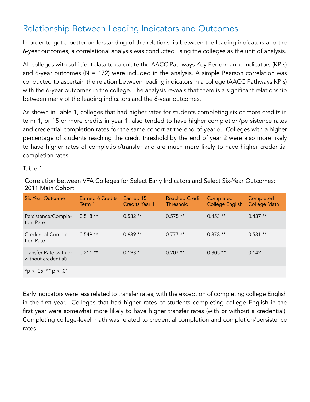## Relationship Between Leading Indicators and Outcomes

In order to get a better understanding of the relationship between the leading indicators and the 6-year outcomes, a correlational analysis was conducted using the colleges as the unit of analysis.

All colleges with sufficient data to calculate the AACC Pathways Key Performance Indicators (KPIs) and 6-year outcomes ( $N = 172$ ) were included in the analysis. A simple Pearson correlation was conducted to ascertain the relation between leading indicators in a college (AACC Pathways KPIs) with the 6-year outcomes in the college. The analysis reveals that there is a significant relationship between many of the leading indicators and the 6-year outcomes.

As shown in Table 1, colleges that had higher rates for students completing six or more credits in term 1, or 15 or more credits in year 1, also tended to have higher completion/persistence rates and credential completion rates for the same cohort at the end of year 6. Colleges with a higher percentage of students reaching the credit threshold by the end of year 2 were also more likely to have higher rates of completion/transfer and are much more likely to have higher credential completion rates.

Table 1

Correlation between VFA Colleges for Select Early Indicators and Select Six-Year Outcomes: 2011 Main Cohort

| <b>Six Year Outcome</b>                       | Earned 6 Credits<br>Term 1 | Earned 15<br>Credits Year 1 | <b>Reached Credit</b><br>Threshold | Completed<br>College English | Completed<br><b>College Math</b> |
|-----------------------------------------------|----------------------------|-----------------------------|------------------------------------|------------------------------|----------------------------------|
| Persistence/Comple-<br>tion Rate              | $0.518**$                  | $0.532**$                   | $0.575$ **                         | $0.453$ **                   | $0.437**$                        |
| Credential Comple-<br>tion Rate               | $0.549**$                  | $0.639**$                   | $0.777**$                          | $0.378**$                    | $0.531**$                        |
| Transfer Rate (with or<br>without credential) | $0.211**$                  | $0.193*$                    | $0.207$ **                         | $0.305**$                    | 0.142                            |
| *p < $.05;$ ** p < $.01$                      |                            |                             |                                    |                              |                                  |

Early indicators were less related to transfer rates, with the exception of completing college English in the first year. Colleges that had higher rates of students completing college English in the first year were somewhat more likely to have higher transfer rates (with or without a credential). Completing college-level math was related to credential completion and completion/persistence rates.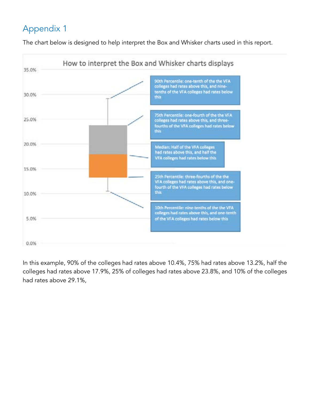# Appendix 1

The chart below is designed to help interpret the Box and Whisker charts used in this report.



In this example, 90% of the colleges had rates above 10.4%, 75% had rates above 13.2%, half the colleges had rates above 17.9%, 25% of colleges had rates above 23.8%, and 10% of the colleges had rates above 29.1%,